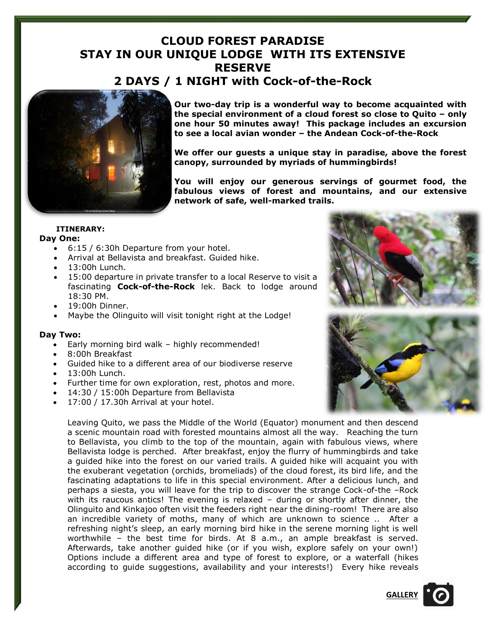# **CLOUD FOREST PARADISE STAY IN OUR UNIQUE LODGE WITH ITS EXTENSIVE RESERVE 2 DAYS / 1 NIGHT with Cock-of-the-Rock**



**Our two-day trip is a wonderful way to become acquainted with the special environment of a cloud forest so close to Quito – only one hour 50 minutes away! This package includes an excursion to see a local avian wonder – the Andean Cock-of-the-Rock**

**We offer our guests a unique stay in paradise, above the forest canopy, surrounded by myriads of hummingbirds!** 

**You will enjoy our generous servings of gourmet food, the fabulous views of forest and mountains, and our extensive network of safe, well-marked trails.**

## **ITINERARY:**

### **Day One:**

- 6:15 / 6:30h Departure from your hotel.
- Arrival at Bellavista and breakfast. Guided hike.
- 13:00h Lunch.
- 15:00 departure in private transfer to a local Reserve to visit a fascinating **Cock-of-the-Rock** lek. Back to lodge around 18:30 PM.
- 19:00h Dinner.
- Maybe the Olinguito will visit tonight right at the Lodge!

### **Day Two:**

- Early morning bird walk highly recommended!
- 8:00h Breakfast
- Guided hike to a different area of our biodiverse reserve
- 13:00h Lunch.
- Further time for own exploration, rest, photos and more.
- 14:30 / 15:00h Departure from Bellavista
- 17:00 / 17.30h Arrival at your hotel.

Leaving Quito, we pass the Middle of the World (Equator) monument and then descend a scenic mountain road with forested mountains almost all the way. Reaching the turn to Bellavista, you climb to the top of the mountain, again with fabulous views, where Bellavista lodge is perched. After breakfast, enjoy the flurry of hummingbirds and take a guided hike into the forest on our varied trails. A guided hike will acquaint you with the exuberant vegetation (orchids, bromeliads) of the cloud forest, its bird life, and the fascinating adaptations to life in this special environment. After a delicious lunch, and perhaps a siesta, you will leave for the trip to discover the strange Cock-of-the –Rock with its raucous antics! The evening is relaxed – during or shortly after dinner, the Olinguito and Kinkajoo often visit the feeders right near the dining-room! There are also an incredible variety of moths, many of which are unknown to science .. After a refreshing night's sleep, an early morning bird hike in the serene morning light is well worthwhile – the best time for birds. At 8 a.m., an ample breakfast is served. Afterwards, take another guided hike (or if you wish, explore safely on your own!) Options include a different area and type of forest to explore, or a waterfall (hikes according to guide suggestions, availability and your interests!) Every hike reveals